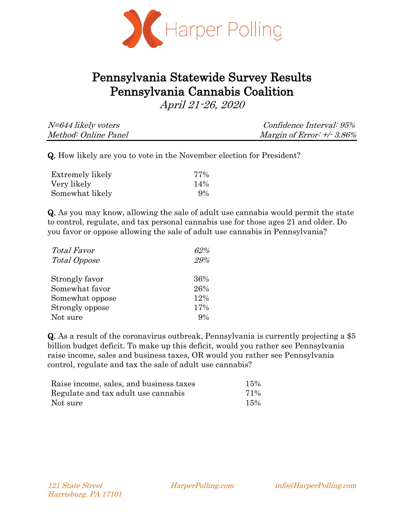

# Pennsylvania Statewide Survey Results Pennsylvania Cannabis Coalition

April 21-26, 2020

| N=644 likely voters  | <i>Confidence Interval: 95%</i> |
|----------------------|---------------------------------|
| Method: Online Panel | Margin of Error: $+/3.86\%$     |

Q. How likely are you to vote in the November election for President?

| Extremely likely | 77%   |
|------------------|-------|
| Very likely      | 14%   |
| Somewhat likely  | $9\%$ |

Q. As you may know, allowing the sale of adult use cannabis would permit the state to control, regulate, and tax personal cannabis use for those ages 21 and older. Do you favor or oppose allowing the sale of adult use cannabis in Pennsylvania?

| <i>Total Favor</i> | 62% |
|--------------------|-----|
| Total Oppose       | 29% |
|                    |     |
| Strongly favor     | 36% |
| Somewhat favor     | 26% |
| Somewhat oppose    | 12% |
| Strongly oppose    | 17% |
| Not sure           | 9%  |

Q. As a result of the coronavirus outbreak, Pennsylvania is currently projecting a \$5 billion budget deficit. To make up this deficit, would you rather see Pennsylvania raise income, sales and business taxes, OR would you rather see Pennsylvania control, regulate and tax the sale of adult use cannabis?

| Raise income, sales, and business taxes | 15% |
|-----------------------------------------|-----|
| Regulate and tax adult use cannabis     | 71% |
| Not sure                                | 15% |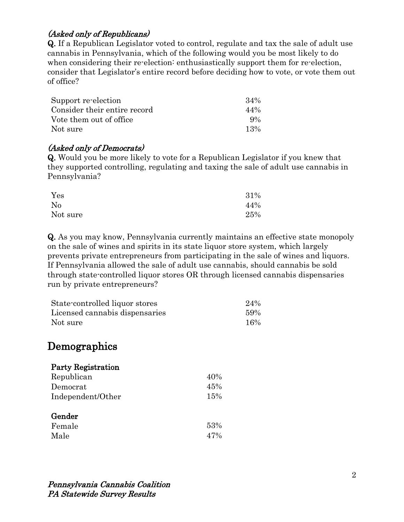# (Asked only of Republicans)

Q. If a Republican Legislator voted to control, regulate and tax the sale of adult use cannabis in Pennsylvania, which of the following would you be most likely to do when considering their re-election: enthusiastically support them for re-election, consider that Legislator's entire record before deciding how to vote, or vote them out of office?

| Support re-election          | 34%   |
|------------------------------|-------|
| Consider their entire record | 44%   |
| Vote them out of office.     | $9\%$ |
| Not sure                     | 13%   |

#### (Asked only of Democrats)

Q. Would you be more likely to vote for a Republican Legislator if you knew that they supported controlling, regulating and taxing the sale of adult use cannabis in Pennsylvania?

| Yes      | 31% |
|----------|-----|
| No       | 44% |
| Not sure | 25% |

Q. As you may know, Pennsylvania currently maintains an effective state monopoly on the sale of wines and spirits in its state liquor store system, which largely prevents private entrepreneurs from participating in the sale of wines and liquors. If Pennsylvania allowed the sale of adult use cannabis, should cannabis be sold through state-controlled liquor stores OR through licensed cannabis dispensaries run by private entrepreneurs?

| State-controlled liquor stores | 24% |
|--------------------------------|-----|
| Licensed cannabis dispensaries | 59% |
| Not sure                       | 16% |

# Demographics

| <b>Party Registration</b> |     |
|---------------------------|-----|
| Republican                | 40% |
| Democrat                  | 45% |
| Independent/Other         | 15% |
| Gender                    |     |
| Female                    | 53% |
| Male                      | 47% |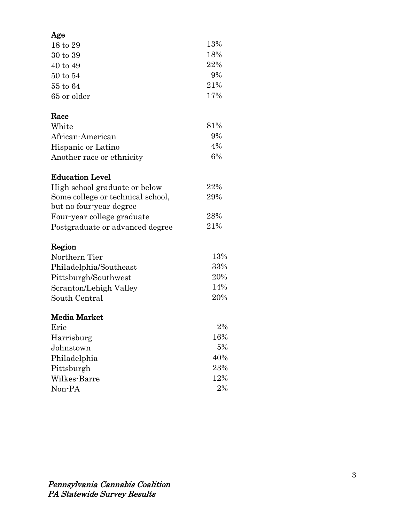| Age          |       |
|--------------|-------|
| 18 to 29     | 13%   |
| 30 to 39     | 18%   |
| 40 to 49     | 22%   |
| $50$ to $54$ | $9\%$ |
| 55 to 64     | 21%   |
| 65 or older  | 17%   |

#### Race

| White                     | 81\%  |
|---------------------------|-------|
| African-American          | $9\%$ |
| Hispanic or Latino        | $4\%$ |
| Another race or ethnicity | $6\%$ |

# Education Level

| High school graduate or below     | 22%  |
|-----------------------------------|------|
| Some college or technical school, | 29%  |
| but no four-year degree           |      |
| Four-year college graduate        | 28%  |
| Postgraduate or advanced degree   | 21\% |

# Region

| Northern Tier          | 13% |
|------------------------|-----|
| Philadelphia/Southeast | 33% |
| Pittsburgh/Southwest   | 20% |
| Scranton/Lehigh Valley | 14% |
| South Central          | 20% |

## Media Market

| Erie         | 2%  |
|--------------|-----|
| Harrisburg   | 16% |
| Johnstown    | 5%  |
| Philadelphia | 40% |
| Pittsburgh   | 23% |
| Wilkes-Barre | 12% |
| Non-PA       | 2%  |